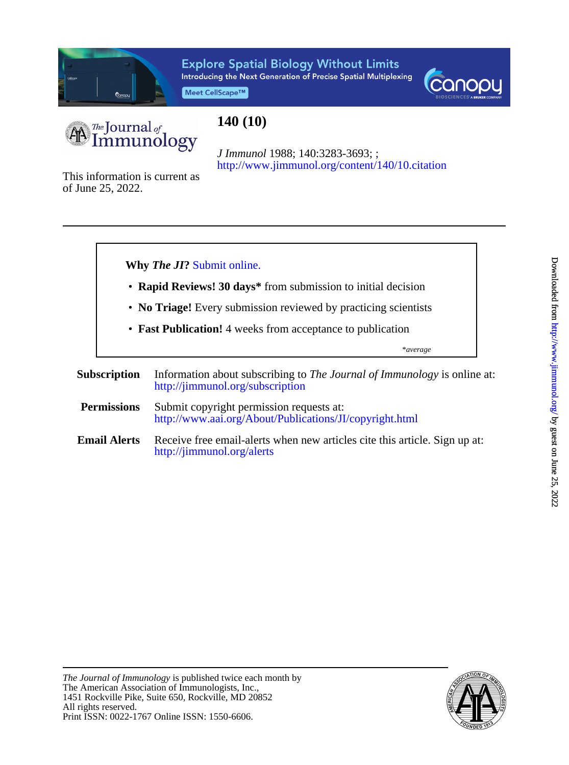

# **Explore Spatial Biology Without Limits** Introducing the Next Generation of Precise Spatial Multiplexing

Meet CellScape™





# **140 (10)**

<http://www.jimmunol.org/content/140/10.citation> *J Immunol* 1988; 140:3283-3693; ;

of June 25, 2022. This information is current as



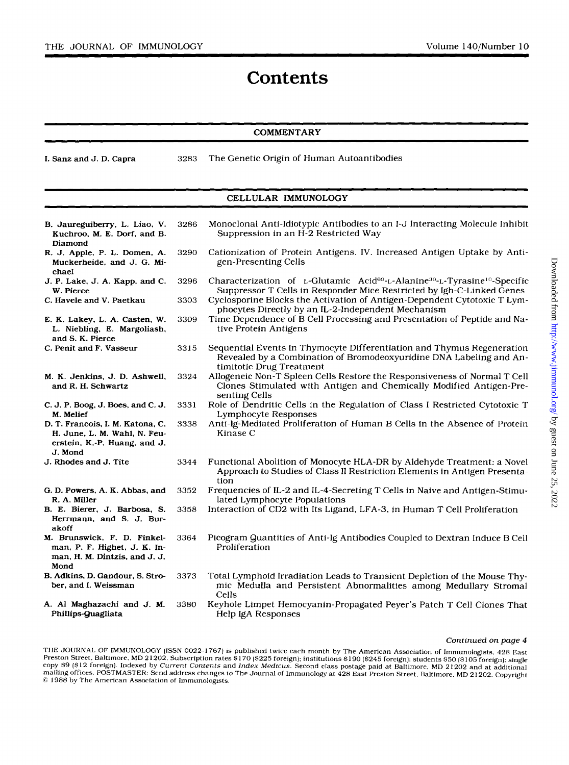# **Contents**

## **COMMENTARY**

**I.** Sanz and J. D. Capra 3283 The Genetic Origin of Human Autoantibodies

#### CELLULAR IMMUNOLOGY

| B. Jaureguiberry, L. Liao, V.<br>Kuchroo, M. E. Dorf, and B.<br>Diamond                                     | 3286 | Monoclonal Anti-Idiotypic Antibodies to an I-J Interacting Molecule Inhibit<br>Suppression in an H-2 Restricted Way                                                                        |
|-------------------------------------------------------------------------------------------------------------|------|--------------------------------------------------------------------------------------------------------------------------------------------------------------------------------------------|
| R. J. Apple, P. L. Domen, A.<br>Muckerheide, and J. G. Mi-<br>chael                                         | 3290 | Cationization of Protein Antigens. IV. Increased Antigen Uptake by Anti-<br>gen-Presenting Cells                                                                                           |
| J. P. Lake, J. A. Kapp, and C.<br>W. Pierce                                                                 | 3296 | Characterization of $L$ -Glutamic Acid <sup>60</sup> -L-Alanine <sup>30</sup> -L-Tyrasine <sup>10</sup> -Specific<br>Suppressor T Cells in Responder Mice Restricted by Igh-C-Linked Genes |
| C. Havele and V. Paetkau                                                                                    | 3303 | Cyclosporine Blocks the Activation of Antigen-Dependent Cytotoxic T Lym-<br>phocytes Directly by an IL-2-Independent Mechanism                                                             |
| E. K. Lakey, L. A. Casten, W.<br>L. Niebling, E. Margoliash,<br>and S. K. Pierce                            | 3309 | Time Dependence of B Cell Processing and Presentation of Peptide and Na-<br>tive Protein Antigens                                                                                          |
| C. Penit and F. Vasseur                                                                                     | 3315 | Sequential Events in Thymocyte Differentiation and Thymus Regeneration<br>Revealed by a Combination of Bromodeoxyuridine DNA Labeling and An-<br>timitotic Drug Treatment                  |
| M. K. Jenkins, J. D. Ashwell,<br>and R. H. Schwartz                                                         | 3324 | Allogeneic Non-T Spleen Cells Restore the Responsiveness of Normal T Cell<br>Clones Stimulated with Antigen and Chemically Modified Antigen-Pre-<br>senting Cells                          |
| C. J. P. Boog, J. Boes, and C. J.<br>M. Melief                                                              | 3331 | Role of Dendritic Cells in the Regulation of Class I Restricted Cytotoxic T<br>Lymphocyte Responses                                                                                        |
| D. T. Francois, I. M. Katona, C.<br>H. June, L. M. Wahl, N. Feu-<br>erstein, K.-P. Huang, and J.<br>J. Mond | 3338 | Anti-Ig-Mediated Proliferation of Human B Cells in the Absence of Protein<br>Kinase C                                                                                                      |
| J. Rhodes and J. Tite                                                                                       | 3344 | Functional Abolition of Monocyte HLA-DR by Aldehyde Treatment: a Novel<br>Approach to Studies of Class II Restriction Elements in Antigen Presenta-<br>tion                                |
| G. D. Powers, A. K. Abbas, and<br>R. A. Miller                                                              | 3352 | Frequencies of IL-2 and IL-4-Secreting T Cells in Naive and Antigen-Stimu-<br>lated Lymphocyte Populations                                                                                 |
| B. E. Bierer, J. Barbosa, S.<br>Herrmann, and S. J. Bur-<br>akoff                                           | 3358 | Interaction of CD2 with Its Ligand, LFA-3, in Human T Cell Proliferation                                                                                                                   |
| M. Brunswick, F. D. Finkel-<br>man, P. F. Highet, J. K. In-<br>man, H. M. Dintzis, and J. J.<br>Mond        | 3364 | Picogram Quantities of Anti-Ig Antibodies Coupled to Dextran Induce B Cell<br>Proliferation                                                                                                |
| B. Adkins, D. Gandour, S. Stro-<br>ber, and I. Weissman                                                     | 3373 | Total Lymphoid Irradiation Leads to Transient Depletion of the Mouse Thy-<br>mic Medulla and Persistent Abnormalities among Medullary Stromal<br>Cells                                     |
| A. Al Maghazachi and J. M.<br>Phillips-Quagliata                                                            | 3380 | Keyhole Limpet Hemocyanin-Propagated Peyer's Patch T Cell Clones That<br>Help IgA Responses                                                                                                |

#### **Continued** *on page 4*

THE JOURNAL OF IMMUNOLOGY (ISSN 0022-1767) is published twice each month by The American Association of Immunologists, 428 East Preston Street, Baltimore. MD 21202. Subscription rates \$170 (\$225 foreign); institutions \$190 (\$245 foreign); students \$50 (\$105 foreign); students \$50 (\$12 foreign); students \$50 (\$12 foreign); students \$10 (\$12 foreign) mailing offices. POSTMASTER: Send address changes to The Journal of Immunology at 428 East Preston Street. Baltimore, MD 21202. Copyright<br>© 1988 by The American Association of Immunologists.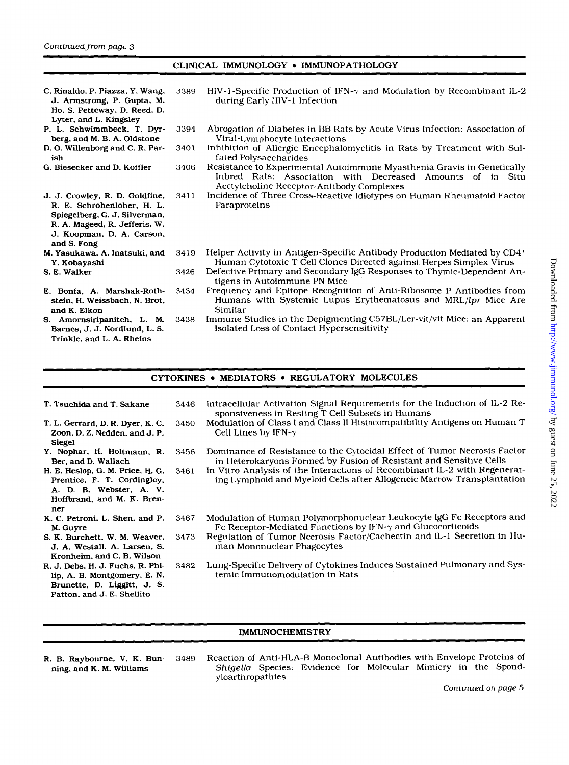## CLINICAL IMMUNOLOGY . IMMUNOPATHOLOGY

| C. Rinaldo, P. Piazza, Y. Wang,<br>J. Armstrong, P. Gupta, M.<br>Ho, S. Petteway, D. Reed, D.<br>Lyter, and L. Kingsley                                                    | 3389 | HIV-1-Specific Production of IFN- $\gamma$ and Modulation by Recombinant IL-2<br>during Early HIV-1 Infection                                                                     |
|----------------------------------------------------------------------------------------------------------------------------------------------------------------------------|------|-----------------------------------------------------------------------------------------------------------------------------------------------------------------------------------|
| P. L. Schwimmbeck, T. Dyr-<br>berg, and M. B. A. Oldstone                                                                                                                  | 3394 | Abrogation of Diabetes in BB Rats by Acute Virus Infection: Association of<br>Viral-Lymphocyte Interactions                                                                       |
| D. O. Willenborg and C. R. Par-<br>ish                                                                                                                                     | 3401 | Inhibition of Allergic Encephalomyelitis in Rats by Treatment with Sul-<br>fated Polysaccharides                                                                                  |
| G. Biesecker and D. Koffler                                                                                                                                                | 3406 | Resistance to Experimental Autoimmune Myasthenia Gravis in Genetically<br>Inbred Rats: Association with Decreased Amounts of in Situ<br>Acetylcholine Receptor-Antibody Complexes |
| J. J. Crowley, R. D. Goldfine,<br>R. E. Schrohenloher, H. L.<br>Spiegelberg, G. J. Silverman,<br>R. A. Mageed, R. Jefferis, W.<br>J. Koopman, D. A. Carson,<br>and S. Fong | 3411 | Incidence of Three Cross-Reactive Idiotypes on Human Rheumatoid Factor<br>Paraproteins                                                                                            |
| M. Yasukawa, A. Inatsuki, and<br>Y. Kobayashi                                                                                                                              | 3419 | Helper Activity in Antigen-Specific Antibody Production Mediated by CD4+<br>Human Cytotoxic T Cell Clones Directed against Herpes Simplex Virus                                   |
| S. E. Walker                                                                                                                                                               | 3426 | Defective Primary and Secondary IgG Responses to Thymic-Dependent An-<br>tigens in Autoimmune PN Mice                                                                             |
| E. Bonfa. A. Marshak-Roth-<br>stein, H. Weissbach, N. Brot,<br>and K. Elkon                                                                                                | 3434 | Frequency and Epitope Recognition of Anti-Ribosome P Antibodies from<br>Humans with Systemic Lupus Erythematosus and MRL/lpr Mice Are<br>Similar                                  |
| S. Amornsiripanitch, L. M.<br>Barnes, J. J. Nordlund, L. S.<br>Trinkle, and L. A. Rheins                                                                                   | 3438 | Immune Studies in the Depigmenting C57BL/Ler-vit/vit Mice: an Apparent<br>Isolated Loss of Contact Hypersensitivity                                                               |

#### CYTOKINES MEDIATORS *0* REGULATORY MOLECULES

| T. Tsuchida and T. Sakane                                                                                                       | 3446 | Intracellular Activation Signal Requirements for the Induction of IL-2 Re-<br>sponsiveness in Resting T Cell Subsets in Humans                      |
|---------------------------------------------------------------------------------------------------------------------------------|------|-----------------------------------------------------------------------------------------------------------------------------------------------------|
| T. L. Gerrard, D. R. Dyer, K. C.<br>Zoon, D. Z. Nedden, and J. P.<br>Siegel                                                     | 3450 | Modulation of Class I and Class II Histocompatibility Antigens on Human T<br>Cell Lines by IFN- $\gamma$                                            |
| Y. Nophar, H. Holtmann, R.<br>Ber, and D. Wallach                                                                               | 3456 | Dominance of Resistance to the Cytocidal Effect of Tumor Necrosis Factor<br>in Heterokaryons Formed by Fusion of Resistant and Sensitive Cells      |
| H. E. Heslop, G. M. Price, H. G.<br>Prentice, F. T. Cordingley,<br>A. D. B. Webster, A. V.<br>Hoffbrand, and M. K. Bren-<br>ner | 3461 | In Vitro Analysis of the Interactions of Recombinant IL-2 with Regenerat-<br>ing Lymphoid and Myeloid Cells after Allogeneic Marrow Transplantation |
| K. C. Petroni, L. Shen, and P.<br>M. Guyre                                                                                      | 3467 | Modulation of Human Polymorphonuclear Leukocyte IgG Fc Receptors and<br>Fc Receptor-Mediated Functions by IFN- $\gamma$ and Glucocorticoids         |
| S. K. Burchett, W. M. Weaver,<br>J. A. Westall, A. Larsen, S.<br>Kronheim, and C. B. Wilson                                     | 3473 | Regulation of Tumor Necrosis Factor/Cachectin and IL-1 Secretion in Hu-<br>man Mononuclear Phagocytes                                               |
| R. J. Debs, H. J. Fuchs, R. Phi-<br>lip, A. B. Montgomery, E. N.<br>Brunette, D. Liggitt, J. S.<br>Patton, and J. E. Shellito   | 3482 | Lung-Specific Delivery of Cytokines Induces Sustained Pulmonary and Sys-<br>temic Immunomodulation in Rats                                          |

### IMMUNOCHEMISTRY

- 
- R. B. Raybourne. **V.** K. **Bun-** 3489 Reaction of Anti-HLA-B Monoclonal Antibodies with Envelope Proteins of ning, and K. M. Williams *Shigella* Species: Evidence for Molecular Mimicry in the Spondyloarthropathies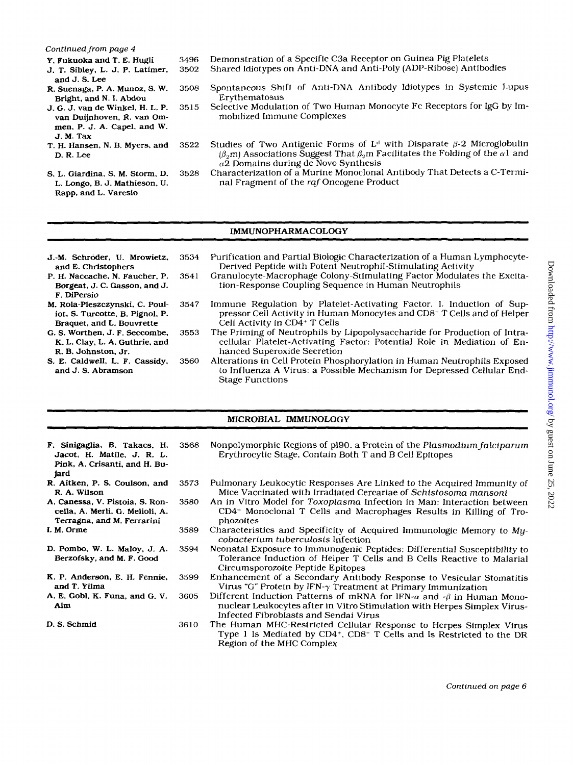#### *Continued from page 4*

- Y. Fukuoka and T. **E.** Hugli
- J. T. Sibley, L. J. **P.** Latimer, and J. **S.** Lee
- **R.** Suenaga, P. **A.** Munoz, **S.** W. Bright, and N. **I.** Abdou
- J. G. J. van de Winkel, **H.** L. P. van Duijnhoven, **R.** van Ommen, P. J. A. Capel, and W. J. M. **Tax**
- T. H. Hansen, N. **B.** Myers, and D. **R.** Lee
- *S.* L. Giardina, **S.** M. Storm, D. L. Longo, B. J. Mathieson, **U.**  Rapp, and L. Varesio
- 3496 Demonstration of a Specific C3a Receptor on Guinea Pig Platelets Shared Idiotypes on Anti-DNA and Anti-Poly (ADP-Ribose) Antibodies
- 3508 Spontaneous Shift of Anti-DNA Antibody Idiotypes in Systemic Lupus Erythematosus
- 35 15 Selective Modulation of Two Human Monocyte Fc Receptors for IgG by Immobilized Immune Complexes
- 3522 Studies of Two Antigenic Forms of  $L^d$  with Disparate  $\beta$ -2 Microglobulin  $(\beta_m)$  Associations Suggest That  $\beta_m$  Facilitates the Folding of the  $\alpha$ l and  $\alpha$ 2 Domains during de Novo Synthesis
- 3528 Characterization of a Murine Monoclonal Antibody That Detects a C-Terminal Fragment of the raf Oncogene Product

#### IMMUNOPHARMACOLOGY

| J.-M. Schröder, U. Mrowietz,<br>and E. Christophers                                            | 3534 | Purification and Partial Biologic Characterization of a Human Lymphocyte-<br>Derived Peptide with Potent Neutrophil-Stimulating Activity                                                      |
|------------------------------------------------------------------------------------------------|------|-----------------------------------------------------------------------------------------------------------------------------------------------------------------------------------------------|
| P. H. Naccache, N. Faucher, P.<br>Borgeat, J. C. Gasson, and J.<br>F. DiPersio                 | 3541 | Granulocyte-Macrophage Colony-Stimulating Factor Modulates the Excita-<br>tion-Response Coupling Sequence in Human Neutrophils                                                                |
| M. Rola-Pleszczynski, C. Poul-<br>iot, S. Turcotte, B. Pignol, P.<br>Braquet, and L. Bouvrette | 3547 | Immune Regulation by Platelet-Activating Factor. I. Induction of Sup-<br>pressor Cell Activity in Human Monocytes and CD8+ T Cells and of Helper<br>Cell Activity in CD4 <sup>+</sup> T Cells |
| G. S. Worthen, J. F. Seccombe,<br>K. L. Clay, L. A. Guthrie, and<br>R. B. Johnston, Jr.        | 3553 | The Priming of Neutrophils by Lipopolysaccharide for Production of Intra-<br>cellular Platelet-Activating Factor: Potential Role in Mediation of En-<br>hanced Superoxide Secretion           |
| S. E. Caldwell, L. F. Cassidy,<br>and J. S. Abramson                                           | 3560 | Alterations in Cell Protein Phosphorylation in Human Neutrophils Exposed<br>to Influenza A Virus: a Possible Mechanism for Depressed Cellular End-<br><b>Stage Functions</b>                  |

#### MICROBIAL IMMUNOLOGY

- **F.** Sinigaglia, B. Takacs, **H.**  Jacot, H. Matile, J. R. L. Pink, A. Crisanti, and H. Bujard 3568
- Nonpolymorphic Regions of pl90, a Protein of the Plasmodium falciparum Erythrocytic Stage, Contain Both T and B Cell Epitopes
- **R.** Aitken, P. *S.* Coulson, and R. **A.** Wilson **A.** Canessa, **V.** Pistoia, **S. Ron-**3573 3580
- cella, A. Merli. **G.** Melioli, A. Terragna, and M. Ferrarini
- **I.** M. Orme 3589
- D. Pombo. W. L. Maloy, J. **A.**  Berzofsky, and M. **F.** Good 3594
- **K.** P. Anderson, **E.** H. Fennie. and **T.** YiIma 3599
- **A.** E. Cobl, **K.** Funa, and *G.* V. Alm 3605

3610

D. *S.* Schmid

- Pulmonary Leukocytic Responses Are Linked to the Acquired Immunity of Mice Vaccinated with Irradiated Cercariae of Schistosoma mansoni
- An in Vitro Model for Toxoplasma Infection in Man: Interaction between CD4+ Monoclonal T Cells and Macrophages Results in Killing of Trophozoites
- Characteristics and Specificity of Acquired Immunologic Memory to Mycobacterium tuberculosis Infection
- Neonatal Exposure to Immunogenic Peptides: Differential Susceptibility to Tolerance Induction of Helper T Cells and B Cells Reactive to Malarial Circumsporozoite Peptide Epitopes
- Enhancement of a Secondary Antibody Response to Vesicular Stomatitis Virus "G" Protein by IFN- $\gamma$  Treatment at Primary Immunization
- Different Induction Patterns of mRNA for IFN- $\alpha$  and  $-\beta$  in Human Mononuclear Leukocytes after in Vitro Stimulation with Herpes Simplex Virus-Infected Fibroblasts and Sendai Virus
- The Human MHC-Restricted Cellular Response to Herpes Simplex Virus Type 1 Is Mediated by CD4+, CD8- T Cells and Is Restricted to the DR Region of the MHC Complex